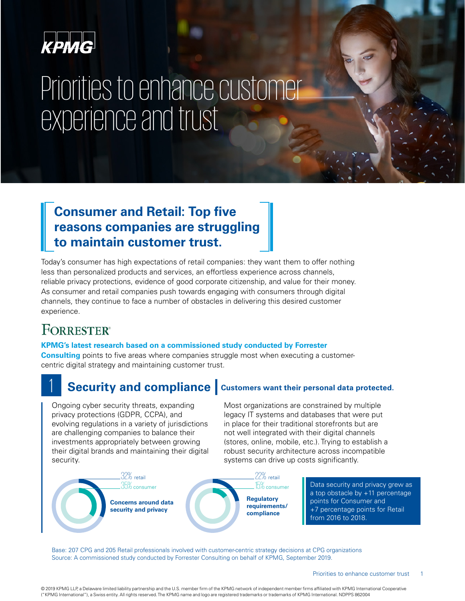

# Priorities to enhance customer experience and trust

### **Consumer and Retail: Top five reasons companies are struggling to maintain customer trust.**

Today's consumer has high expectations of retail companies: they want them to offer nothing less than personalized products and services, an effortless experience across channels, reliable privacy protections, evidence of good corporate citizenship, and value for their money. As consumer and retail companies push towards engaging with consumers through digital channels, they continue to face a number of obstacles in delivering this desired customer experience.

## **FORRESTER®**

### **KPMG's latest research based on a commissioned study conducted by Forrester**

**Consulting** points to five areas where companies struggle most when executing a customercentric digital strategy and maintaining customer trust.

## **Security and compliance** customers want their personal data protected.

Ongoing cyber security threats, expanding privacy protections (GDPR, CCPA), and evolving regulations in a variety of jurisdictions are challenging companies to balance their investments appropriately between growing their digital brands and maintaining their digital security.

Most organizations are constrained by multiple legacy IT systems and databases that were put in place for their traditional storefronts but are not well integrated with their digital channels (stores, online, mobile, etc.). Trying to establish a robust security architecture across incompatible systems can drive up costs significantly.



Data security and privacy grew as a top obstacle by +11 percentage points for Consumer and +7 percentage points for Retail from 2016 to 2018.

Base: 207 CPG and 205 Retail professionals involved with customer-centric strategy decisions at CPG organizations Source: A commissioned study conducted by Forrester Consulting on behalf of KPMG, September 2019.

© 2019 KPMG LLP, a Delaware limited liability partnership and the U.S. member firm of the KPMG network of independent member firms affiliated with KPMG International Cooperative ("KPMG International"), a Swiss entity. All rights reserved. The KPMG name and logo are registered trademarks or trademarks of KPMG International. NDPPS 862004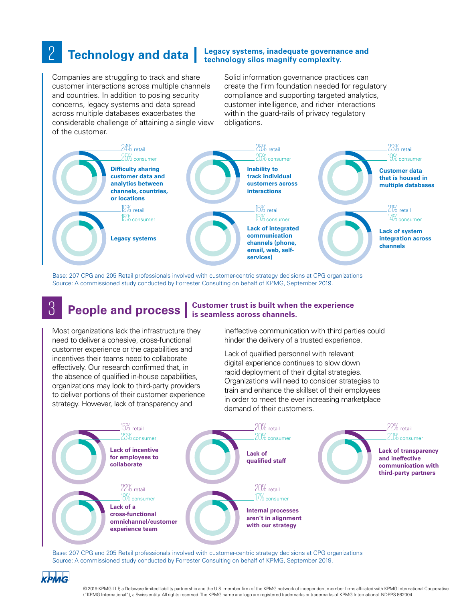### **Technology and data** | Legacy systems, inadequate governance and <br> **Example 2 Technology and data** | technology silos magnify complexity. **technology silos magnify complexity.**

Companies are struggling to track and share customer interactions across multiple channels and countries. In addition to posing security concerns, legacy systems and data spread across multiple databases exacerbates the considerable challenge of attaining a single view of the customer.

Solid information governance practices can create the firm foundation needed for regulatory compliance and supporting targeted analytics, customer intelligence, and richer interactions within the guard-rails of privacy regulatory obligations.



Base: 207 CPG and 205 Retail professionals involved with customer-centric strategy decisions at CPG organizations Source: A commissioned study conducted by Forrester Consulting on behalf of KPMG, September 2019.

## 3 **People and process | Customer trust is built when the experience is seamless across channels.**

Most organizations lack the infrastructure they need to deliver a cohesive, cross-functional customer experience or the capabilities and incentives their teams need to collaborate effectively. Our research confirmed that, in the absence of qualified in-house capabilities, organizations may look to third-party providers to deliver portions of their customer experience strategy. However, lack of transparency and

ineffective communication with third parties could hinder the delivery of a trusted experience.

Lack of qualified personnel with relevant digital experience continues to slow down rapid deployment of their digital strategies. Organizations will need to consider strategies to train and enhance the skillset of their employees in order to meet the ever increasing marketplace demand of their customers.



Base: 207 CPG and 205 Retail professionals involved with customer-centric strategy decisions at CPG organizations Source: A commissioned study conducted by Forrester Consulting on behalf of KPMG, September 2019.

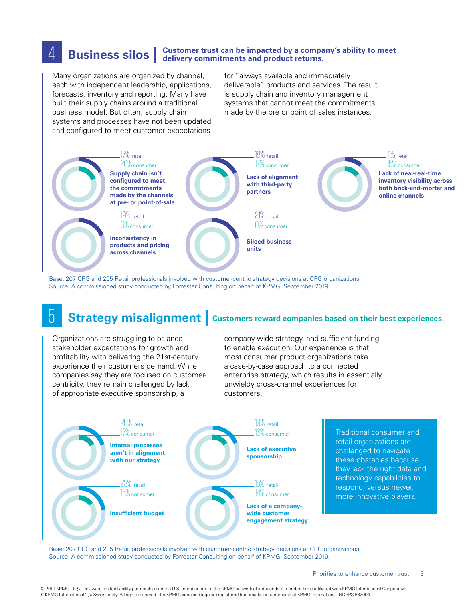### 4 **Business silos | delivery commitments and product returns. Customer trust can be impacted by a company's ability to meet**

Many organizations are organized by channel, each with independent leadership, applications, forecasts, inventory and reporting. Many have built their supply chains around a traditional business model. But often, supply chain systems and processes have not been updated and configured to meet customer expectations

for "always available and immediately deliverable" products and services. The result is supply chain and inventory management systems that cannot meet the commitments made by the pre or point of sales instances.



Base: 207 CPG and 205 Retail professionals involved with customer-centric strategy decisions at CPG organizations Source: A commissioned study conducted by Forrester Consulting on behalf of KPMG, September 2019.

## **5 Strategy misalignment Customers reward companies based on their best experiences.**

Organizations are struggling to balance stakeholder expectations for growth and profitability with delivering the 21st-century experience their customers demand. While companies say they are focused on customercentricity, they remain challenged by lack of appropriate executive sponsorship, a

company-wide strategy, and sufficient funding to enable execution. Our experience is that most consumer product organizations take a case-by-case approach to a connected enterprise strategy, which results in essentially unwieldy cross-channel experiences for customers.



Traditional consumer and retail organizations are challenged to navigate these obstacles because they lack the right data and technology capabilities to respond, versus newer, more innovative players.

Base: 207 CPG and 205 Retail professionals involved with customer-centric strategy decisions at CPG organizations Source: A commissioned study conducted by Forrester Consulting on behalf of KPMG, September 2019.

© 2019 KPMG LLP, a Delaware limited liability partnership and the U.S. member firm of the KPMG network of independent member firms affiliated with KPMG International Cooperative ("KPMG International"), a Swiss entity. All rights reserved. The KPMG name and logo are registered trademarks or trademarks of KPMG International. NDPPS 862004